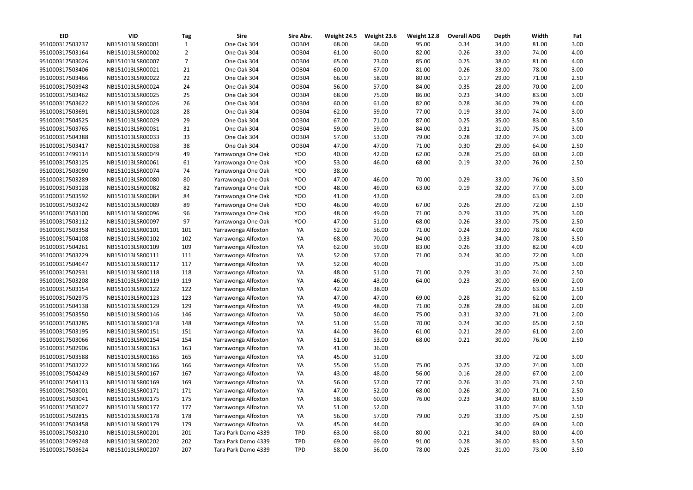| <b>EID</b>      | <b>VID</b>       | <b>Tag</b> | <b>Sire</b>         | Sire Abv.  | Weight 24.5 | Weight 23.6 | Weight 12.8 | <b>Overall ADG</b> | <b>Depth</b> | Width | Fat          |
|-----------------|------------------|------------|---------------------|------------|-------------|-------------|-------------|--------------------|--------------|-------|--------------|
| 951000317503237 | NB151013LSR00001 | 1          | One Oak 304         | OO304      | 68.00       | 68.00       | 95.00       | 0.34               | 34.00        | 81.00 | 3.00         |
| 951000317503164 | NB151013LSR00002 | 2          | One Oak 304         | OO304      | 61.00       | 60.00       | 82.00       | 0.26               | 33.00        | 74.00 | 4.00         |
| 951000317503026 | NB151013LSR00007 | 7          | One Oak 304         | OO304      | 65.00       | 73.00       | 85.00       | 0.25               | 38.00        | 81.00 | 4.00         |
| 951000317503406 | NB151013LSR00021 | 21         | One Oak 304         | OO304      | 60.00       | 67.00       | 81.00       | 0.26               | 33.00        | 78.00 | 3.00         |
| 951000317503466 | NB151013LSR00022 | 22         | One Oak 304         | OO304      | 66.00       | 58.00       | 80.00       | 0.17               | 29.00        | 71.00 | 2.50         |
| 951000317503948 | NB151013LSR00024 | 24         | One Oak 304         | OO304      | 56.00       | 57.00       | 84.00       | 0.35               | 28.00        | 70.00 | 2.00         |
| 951000317503462 | NB151013LSR00025 | 25         | One Oak 304         | OO304      | 68.00       | 75.00       | 86.00       | 0.23               | 34.00        | 83.00 | 3.00         |
| 951000317503622 | NB151013LSR00026 | 26         | One Oak 304         | OO304      | 60.00       | 61.00       | 82.00       | 0.28               | 36.00        | 79.00 | 4.00         |
| 951000317503691 | NB151013LSR00028 | 28         | One Oak 304         | OO304      | 62.00       | 59.00       | 77.00       | 0.19               | 33.00        | 74.00 | 3.00         |
| 951000317504525 | NB151013LSR00029 | 29         | One Oak 304         | OO304      | 67.00       | 71.00       | 87.00       | 0.25               | 35.00        | 83.00 | 3.50         |
| 951000317503765 | NB151013LSR00031 | 31         | One Oak 304         | OO304      | 59.00       | 59.00       | 84.00       | 0.31               | 31.00        | 75.00 | 3.00         |
| 951000317504388 | NB151013LSR00033 | 33         | One Oak 304         | OO304      | 57.00       | 53.00       | 79.00       | 0.28               | 32.00        | 74.00 | 3.00         |
| 951000317503417 | NB151013LSR00038 | 38         | One Oak 304         | OO304      | 47.00       | 47.00       | 71.00       | 0.30               | 29.00        | 64.00 | 2.50         |
| 951000317499114 | NB151013LSR00049 | 49         | Yarrawonga One Oak  | YOO        | 40.00       | 42.00       | 62.00       | 0.28               | 25.00        | 60.00 | 2.00         |
| 951000317503125 | NB151013LSR00061 | 61         | Yarrawonga One Oak  | YOO        | 53.00       | 46.00       | 68.00       | 0.19               | 32.00        | 76.00 | 2.50         |
| 951000317503090 | NB151013LSR00074 | 74         | Yarrawonga One Oak  | YOO        | 38.00       |             |             |                    |              |       |              |
| 951000317503289 | NB151013LSR00080 | 80         | Yarrawonga One Oak  | YOO        | 47.00       | 46.00       | 70.00       | 0.29               | 33.00        | 76.00 | 3.50         |
| 951000317503128 | NB151013LSR00082 | 82         | Yarrawonga One Oak  | YOO        | 48.00       | 49.00       | 63.00       | 0.19               | 32.00        | 77.00 | 3.00         |
| 951000317503592 | NB151013LSR00084 | 84         | Yarrawonga One Oak  | YOO        | 41.00       | 43.00       |             |                    | 28.00        | 63.00 | 2.00         |
| 951000317503242 | NB151013LSR00089 | 89         | Yarrawonga One Oak  | YOO        | 46.00       | 49.00       | 67.00       | 0.26               | 29.00        | 72.00 | 2.50         |
| 951000317503100 | NB151013LSR00096 | 96         | Yarrawonga One Oak  | YOO        | 48.00       | 49.00       | 71.00       | 0.29               | 33.00        | 75.00 | 3.00         |
| 951000317503112 | NB151013LSR00097 | 97         | Yarrawonga One Oak  | YOO        | 47.00       | 51.00       | 68.00       | 0.26               | 33.00        | 75.00 | 2.50         |
| 951000317503358 | NB151013LSR00101 | 101        | Yarrawonga Alfoxton | YA         | 52.00       | 56.00       | 71.00       | 0.24               | 33.00        | 78.00 | 4.00         |
| 951000317504108 | NB151013LSR00102 | 102        | Yarrawonga Alfoxton | YA         | 68.00       | 70.00       | 94.00       | 0.33               | 34.00        | 78.00 | 3.50         |
| 951000317504261 |                  |            |                     |            |             | 59.00       |             |                    |              |       |              |
| 951000317503229 | NB151013LSR00109 | 109        | Yarrawonga Alfoxton | YA         | 62.00       | 57.00       | 83.00       | 0.26               | 33.00        | 82.00 | 4.00<br>3.00 |
|                 | NB151013LSR00111 | 111        | Yarrawonga Alfoxton | YA         | 52.00       |             | 71.00       | 0.24               | 30.00        | 72.00 |              |
| 951000317504647 | NB151013LSR00117 | 117        | Yarrawonga Alfoxton | YA         | 52.00       | 40.00       |             |                    | 31.00        | 75.00 | 3.00         |
| 951000317502931 | NB151013LSR00118 | 118        | Yarrawonga Alfoxton | YA         | 48.00       | 51.00       | 71.00       | 0.29               | 31.00        | 74.00 | 2.50         |
| 951000317503208 | NB151013LSR00119 | 119        | Yarrawonga Alfoxton | YA         | 46.00       | 43.00       | 64.00       | 0.23               | 30.00        | 69.00 | 2.00         |
| 951000317503154 | NB151013LSR00122 | 122        | Yarrawonga Alfoxton | YA         | 42.00       | 38.00       |             |                    | 25.00        | 63.00 | 2.50         |
| 951000317502975 | NB151013LSR00123 | 123        | Yarrawonga Alfoxton | YA         | 47.00       | 47.00       | 69.00       | 0.28               | 31.00        | 62.00 | 2.00         |
| 951000317504138 | NB151013LSR00129 | 129        | Yarrawonga Alfoxton | YA         | 49.00       | 48.00       | 71.00       | 0.28               | 28.00        | 68.00 | 2.00         |
| 951000317503550 | NB151013LSR00146 | 146        | Yarrawonga Alfoxton | YA         | 50.00       | 46.00       | 75.00       | 0.31               | 32.00        | 71.00 | 2.00         |
| 951000317503285 | NB151013LSR00148 | 148        | Yarrawonga Alfoxton | YA         | 51.00       | 55.00       | 70.00       | 0.24               | 30.00        | 65.00 | 2.50         |
| 951000317503195 | NB151013LSR00151 | 151        | Yarrawonga Alfoxton | YA         | 44.00       | 36.00       | 61.00       | 0.21               | 28.00        | 61.00 | 2.00         |
| 951000317503066 | NB151013LSR00154 | 154        | Yarrawonga Alfoxton | YA         | 51.00       | 53.00       | 68.00       | 0.21               | 30.00        | 76.00 | 2.50         |
| 951000317502906 | NB151013LSR00163 | 163        | Yarrawonga Alfoxton | YA         | 41.00       | 36.00       |             |                    |              |       |              |
| 951000317503588 | NB151013LSR00165 | 165        | Yarrawonga Alfoxton | YA         | 45.00       | 51.00       |             |                    | 33.00        | 72.00 | 3.00         |
| 951000317503722 | NB151013LSR00166 | 166        | Yarrawonga Alfoxton | YA         | 55.00       | 55.00       | 75.00       | 0.25               | 32.00        | 74.00 | 3.00         |
| 951000317504249 | NB151013LSR00167 | 167        | Yarrawonga Alfoxton | YA         | 43.00       | 48.00       | 56.00       | 0.16               | 28.00        | 67.00 | 2.00         |
| 951000317504113 | NB151013LSR00169 | 169        | Yarrawonga Alfoxton | YA         | 56.00       | 57.00       | 77.00       | 0.26               | 31.00        | 73.00 | 2.50         |
| 951000317503001 | NB151013LSR00171 | 171        | Yarrawonga Alfoxton | YA         | 47.00       | 52.00       | 68.00       | 0.26               | 30.00        | 71.00 | 2.50         |
| 951000317503041 | NB151013LSR00175 | 175        | Yarrawonga Alfoxton | YA         | 58.00       | 60.00       | 76.00       | 0.23               | 34.00        | 80.00 | 3.50         |
| 951000317503027 | NB151013LSR00177 | 177        | Yarrawonga Alfoxton | YA         | 51.00       | 52.00       |             |                    | 33.00        | 74.00 | 3.50         |
| 951000317502815 | NB151013LSR00178 | 178        | Yarrawonga Alfoxton | YA         | 56.00       | 57.00       | 79.00       | 0.29               | 33.00        | 75.00 | 2.50         |
| 951000317503458 | NB151013LSR00179 | 179        | Yarrawonga Alfoxton | YA         | 45.00       | 44.00       |             |                    | 30.00        | 69.00 | 3.00         |
| 951000317503210 | NB151013LSR00201 | 201        | Tara Park Damo 4339 | <b>TPD</b> | 63.00       | 68.00       | 80.00       | 0.21               | 34.00        | 80.00 | 4.00         |
| 951000317499248 | NB151013LSR00202 | 202        | Tara Park Damo 4339 | <b>TPD</b> | 69.00       | 69.00       | 91.00       | 0.28               | 36.00        | 83.00 | 3.50         |
| 951000317503624 | NB151013LSR00207 | 207        | Tara Park Damo 4339 | <b>TPD</b> | 58.00       | 56.00       | 78.00       | 0.25               | 31.00        | 73.00 | 3.50         |

| Width | Fat  |
|-------|------|
| 81.00 | 3.00 |
| 74.00 | 4.00 |
| 81.00 | 4.00 |
| 78.00 | 3.00 |
| 71.00 | 2.50 |
| 70.00 | 2.00 |
| 83.00 | 3.00 |
| 79.00 | 4.00 |
| 74.00 | 3.00 |
| 83.00 | 3.50 |
| 75.00 | 3.00 |
| 74.00 | 3.00 |
| 64.00 | 2.50 |
| 60.00 | 2.00 |
| 76.00 | 2.50 |
|       |      |
| 76.00 | 3.50 |
| 77.00 | 3.00 |
| 63.00 | 2.00 |
| 72.00 | 2.50 |
| 75.00 | 3.00 |
| 75.00 | 2.50 |
| 78.00 | 4.00 |
| 78.00 | 3.50 |
| 82.00 | 4.00 |
| 72.00 | 3.00 |
| 75.00 | 3.00 |
| 74.00 | 2.50 |
| 69.00 | 2.00 |
| 63.00 | 2.50 |
| 62.00 | 2.00 |
| 68.00 | 2.00 |
| 71.00 | 2.00 |
| 65.00 | 2.50 |
| 61.00 | 2.00 |
| 76.00 | 2.50 |
|       |      |
| 72.00 | 3.00 |
| 74.00 | 3.00 |
| 67.00 | 2.00 |
| 73.00 | 2.50 |
| 71.00 | 2.50 |
| 80.00 | 3.50 |
| 74.00 | 3.50 |
| 75.00 | 2.50 |
| 69.00 | 3.00 |
| 80.00 | 4.00 |
| 83.00 | 3.50 |
| 73.00 | 3.50 |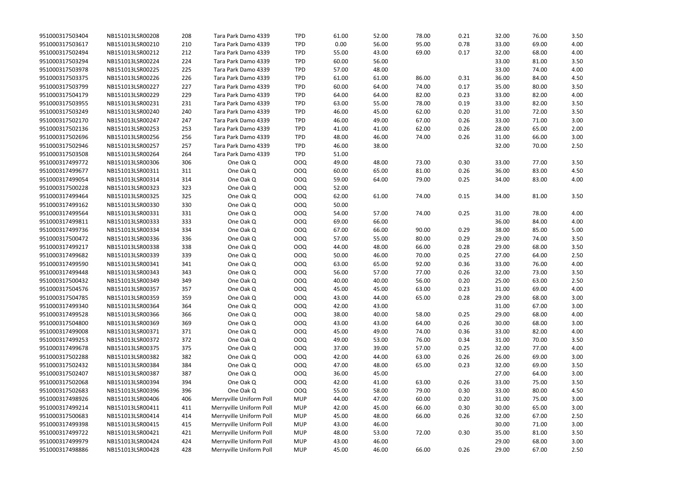| 951000317503404 | NB151013LSR00208 | 208 | Tara Park Damo 4339     | <b>TPD</b> | 61.00 | 52.00 | 78.00 | 0.21 | 32.00 | 76.00 | 3.50 |
|-----------------|------------------|-----|-------------------------|------------|-------|-------|-------|------|-------|-------|------|
| 951000317503617 | NB151013LSR00210 | 210 | Tara Park Damo 4339     | <b>TPD</b> | 0.00  | 56.00 | 95.00 | 0.78 | 33.00 | 69.00 | 4.00 |
| 951000317502494 | NB151013LSR00212 | 212 | Tara Park Damo 4339     | <b>TPD</b> | 55.00 | 43.00 | 69.00 | 0.17 | 32.00 | 68.00 | 4.00 |
| 951000317503294 | NB151013LSR00224 | 224 | Tara Park Damo 4339     | <b>TPD</b> | 60.00 | 56.00 |       |      | 33.00 | 81.00 | 3.50 |
| 951000317503978 | NB151013LSR00225 | 225 | Tara Park Damo 4339     | <b>TPD</b> | 57.00 | 48.00 |       |      | 33.00 | 74.00 | 4.00 |
| 951000317503375 | NB151013LSR00226 | 226 | Tara Park Damo 4339     | <b>TPD</b> | 61.00 | 61.00 | 86.00 | 0.31 | 36.00 | 84.00 | 4.50 |
| 951000317503799 | NB151013LSR00227 | 227 | Tara Park Damo 4339     | <b>TPD</b> | 60.00 | 64.00 | 74.00 | 0.17 | 35.00 | 80.00 | 3.50 |
| 951000317504179 | NB151013LSR00229 | 229 | Tara Park Damo 4339     | <b>TPD</b> | 64.00 | 64.00 | 82.00 | 0.23 | 33.00 | 82.00 | 4.00 |
| 951000317503955 | NB151013LSR00231 | 231 | Tara Park Damo 4339     | <b>TPD</b> | 63.00 | 55.00 | 78.00 | 0.19 | 33.00 | 82.00 | 3.50 |
| 951000317503249 | NB151013LSR00240 | 240 | Tara Park Damo 4339     | <b>TPD</b> | 46.00 | 45.00 | 62.00 | 0.20 | 31.00 | 72.00 | 3.50 |
| 951000317502170 | NB151013LSR00247 | 247 | Tara Park Damo 4339     | <b>TPD</b> | 46.00 | 49.00 | 67.00 | 0.26 | 33.00 | 71.00 | 3.00 |
| 951000317502136 | NB151013LSR00253 | 253 | Tara Park Damo 4339     | <b>TPD</b> | 41.00 | 41.00 | 62.00 | 0.26 | 28.00 | 65.00 | 2.00 |
| 951000317502696 | NB151013LSR00256 | 256 | Tara Park Damo 4339     | <b>TPD</b> | 48.00 | 46.00 | 74.00 | 0.26 | 31.00 | 66.00 | 3.00 |
| 951000317502946 | NB151013LSR00257 | 257 | Tara Park Damo 4339     | <b>TPD</b> | 46.00 | 38.00 |       |      | 32.00 | 70.00 | 2.50 |
| 951000317503508 | NB151013LSR00264 | 264 | Tara Park Damo 4339     | <b>TPD</b> | 51.00 |       |       |      |       |       |      |
| 951000317499772 | NB151013LSR00306 | 306 | One Oak Q               | <b>OOQ</b> | 49.00 | 48.00 | 73.00 | 0.30 | 33.00 | 77.00 | 3.50 |
| 951000317499677 | NB151013LSR00311 | 311 | One Oak Q               | <b>OOQ</b> | 60.00 | 65.00 | 81.00 | 0.26 | 36.00 | 83.00 | 4.50 |
| 951000317499054 | NB151013LSR00314 | 314 | One Oak Q               | OOQ        | 59.00 | 64.00 | 79.00 | 0.25 | 34.00 | 83.00 | 4.00 |
| 951000317500228 | NB151013LSR00323 | 323 | One Oak Q               | OOQ        | 52.00 |       |       |      |       |       |      |
| 951000317499464 | NB151013LSR00325 | 325 | One Oak Q               | <b>OOQ</b> | 62.00 | 61.00 | 74.00 | 0.15 | 34.00 | 81.00 | 3.50 |
| 951000317499162 | NB151013LSR00330 | 330 | One Oak Q               | <b>OOQ</b> | 50.00 |       |       |      |       |       |      |
| 951000317499564 | NB151013LSR00331 | 331 | One Oak Q               | OOQ        | 54.00 | 57.00 | 74.00 | 0.25 | 31.00 | 78.00 | 4.00 |
| 951000317499811 | NB151013LSR00333 | 333 | One Oak Q               | <b>OOQ</b> | 69.00 | 66.00 |       |      | 36.00 | 84.00 | 4.00 |
| 951000317499736 | NB151013LSR00334 | 334 | One Oak Q               | <b>OOQ</b> | 67.00 | 66.00 | 90.00 | 0.29 | 38.00 | 85.00 | 5.00 |
| 951000317500472 | NB151013LSR00336 | 336 | One Oak Q               | OOQ        | 57.00 | 55.00 | 80.00 | 0.29 | 29.00 | 74.00 | 3.50 |
| 951000317499217 | NB151013LSR00338 | 338 | One Oak Q               | <b>OOQ</b> | 44.00 | 48.00 | 66.00 | 0.28 | 29.00 | 68.00 | 3.50 |
| 951000317499682 | NB151013LSR00339 | 339 | One Oak Q               | <b>OOQ</b> | 50.00 | 46.00 | 70.00 | 0.25 | 27.00 | 64.00 | 2.50 |
| 951000317499590 | NB151013LSR00341 | 341 | One Oak Q               | <b>OOQ</b> | 63.00 | 65.00 | 92.00 | 0.36 | 33.00 | 76.00 | 4.00 |
| 951000317499448 | NB151013LSR00343 | 343 | One Oak Q               | <b>OOQ</b> | 56.00 | 57.00 | 77.00 | 0.26 | 32.00 | 73.00 | 3.50 |
| 951000317500432 | NB151013LSR00349 | 349 | One Oak Q               | <b>OOQ</b> | 40.00 | 40.00 | 56.00 | 0.20 | 25.00 | 63.00 | 2.50 |
| 951000317504576 | NB151013LSR00357 | 357 | One Oak Q               | <b>OOQ</b> | 45.00 | 45.00 | 63.00 | 0.23 | 31.00 | 69.00 | 4.00 |
| 951000317504785 | NB151013LSR00359 | 359 | One Oak Q               | OOQ        | 43.00 | 44.00 | 65.00 | 0.28 | 29.00 | 68.00 | 3.00 |
| 951000317499340 | NB151013LSR00364 | 364 | One Oak Q               | OOQ        | 42.00 | 43.00 |       |      | 31.00 | 67.00 | 3.00 |
| 951000317499528 | NB151013LSR00366 | 366 | One Oak Q               | OOQ        | 38.00 | 40.00 | 58.00 | 0.25 | 29.00 | 68.00 | 4.00 |
| 951000317504800 | NB151013LSR00369 | 369 | One Oak Q               | <b>OOQ</b> | 43.00 | 43.00 | 64.00 | 0.26 | 30.00 | 68.00 | 3.00 |
| 951000317499008 | NB151013LSR00371 | 371 | One Oak Q               | <b>OOQ</b> | 45.00 | 49.00 | 74.00 | 0.36 | 33.00 | 82.00 | 4.00 |
| 951000317499253 | NB151013LSR00372 | 372 | One Oak Q               | <b>OOQ</b> | 49.00 | 53.00 | 76.00 | 0.34 | 31.00 | 70.00 | 3.50 |
| 951000317499678 | NB151013LSR00375 | 375 | One Oak Q               | <b>OOQ</b> | 37.00 | 39.00 | 57.00 | 0.25 | 32.00 | 77.00 | 4.00 |
| 951000317502288 | NB151013LSR00382 | 382 | One Oak Q               | OOQ        | 42.00 | 44.00 | 63.00 | 0.26 | 26.00 | 69.00 | 3.00 |
| 951000317502432 | NB151013LSR00384 | 384 | One Oak Q               | <b>OOQ</b> | 47.00 | 48.00 | 65.00 | 0.23 | 32.00 | 69.00 | 3.50 |
| 951000317502407 | NB151013LSR00387 | 387 | One Oak Q               | <b>OOQ</b> | 36.00 | 45.00 |       |      | 27.00 | 64.00 | 3.00 |
| 951000317502068 | NB151013LSR00394 | 394 | One Oak Q               | <b>OOQ</b> | 42.00 | 41.00 | 63.00 | 0.26 | 33.00 | 75.00 | 3.50 |
| 951000317502683 | NB151013LSR00396 | 396 | One Oak Q               | <b>OOQ</b> | 55.00 | 58.00 | 79.00 | 0.30 | 33.00 | 80.00 | 4.50 |
| 951000317498926 | NB151013LSR00406 | 406 | Merryville Uniform Poll | <b>MUP</b> | 44.00 | 47.00 | 60.00 | 0.20 | 31.00 | 75.00 | 3.00 |
| 951000317499214 | NB151013LSR00411 | 411 | Merryville Uniform Poll | <b>MUP</b> | 42.00 | 45.00 | 66.00 | 0.30 | 30.00 | 65.00 | 3.00 |
| 951000317500683 | NB151013LSR00414 | 414 | Merryville Uniform Poll | <b>MUP</b> | 45.00 | 48.00 | 66.00 | 0.26 | 32.00 | 67.00 | 2.50 |
| 951000317499398 | NB151013LSR00415 | 415 | Merryville Uniform Poll | <b>MUP</b> | 43.00 | 46.00 |       |      | 30.00 | 71.00 | 3.00 |
| 951000317499722 | NB151013LSR00421 | 421 | Merryville Uniform Poll | <b>MUP</b> | 48.00 | 53.00 | 72.00 | 0.30 | 35.00 | 81.00 | 3.50 |
| 951000317499979 | NB151013LSR00424 | 424 | Merryville Uniform Poll | <b>MUP</b> | 43.00 | 46.00 |       |      | 29.00 | 68.00 | 3.00 |
| 951000317498886 | NB151013LSR00428 | 428 | Merryville Uniform Poll | <b>MUP</b> | 45.00 | 46.00 | 66.00 | 0.26 | 29.00 | 67.00 | 2.50 |
|                 |                  |     |                         |            |       |       |       |      |       |       |      |

| 76.00 | 3.50 |
|-------|------|
| 69.00 | 4.00 |
| 68.00 | 4.00 |
| 81.00 | 3.50 |
| 74.00 | 4.00 |
| 84.00 | 4.50 |
| 80.00 | 3.50 |
| 82.00 | 4.00 |
| 82.00 | 3.50 |
| 72.00 | 3.50 |
| 71.00 | 3.00 |
| 65.00 | 2.00 |
| 66.00 | 3.00 |
| 70.00 | 2.50 |
| 77.00 | 3.50 |
| 83.00 | 4.50 |
| 83.00 | 4.00 |
| 81.00 | 3.50 |
| 78.00 | 4.00 |
| 84.00 | 4.00 |
| 85.00 | 5.00 |
| 74.00 | 3.50 |
| 68.00 | 3.50 |
| 64.00 | 2.50 |
| 76.00 | 4.00 |
| 73.00 | 3.50 |
| 63.00 | 2.50 |
| 69.00 | 4.00 |
| 68.00 | 3.00 |
| 67.00 | 3.00 |
| 68.00 | 4.00 |
| 68.00 | 3.00 |
| 82.00 | 4.00 |
| 70.00 | 3.50 |
| 77.00 | 4.00 |
| 69.00 | 3.00 |
| 69.00 | 3.50 |
| 64.00 | 3.00 |
| 75.00 | 3.50 |
| 80.00 | 4.50 |
| 75.00 | 3.00 |
| 65.00 | 3.00 |
| 67.00 | 2.50 |
| 71.00 | 3.00 |
| 81.00 | 3.50 |
| 68.00 | 3.00 |
| 67.00 | 2.50 |